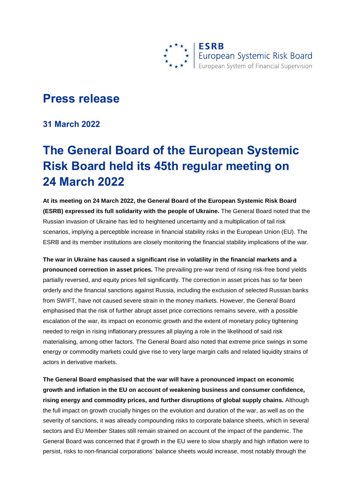

## **Press release**

**31 March 2022**

## **The General Board of the European Systemic Risk Board held its 45th regular meeting on 24 March 2022**

**At its meeting on 24 March 2022, the General Board of the European Systemic Risk Board (ESRB) expressed its full solidarity with the people of Ukraine.** The General Board noted that the Russian invasion of Ukraine has led to heightened uncertainty and a multiplication of tail risk scenarios, implying a perceptible increase in financial stability risks in the European Union (EU). The ESRB and its member institutions are closely monitoring the financial stability implications of the war.

**The war in Ukraine has caused a significant rise in volatility in the financial markets and a pronounced correction in asset prices.** The prevailing pre-war trend of rising risk-free bond yields partially reversed, and equity prices fell significantly. The correction in asset prices has so far been orderly and the financial sanctions against Russia, including the exclusion of selected Russian banks from SWIFT, have not caused severe strain in the money markets. However, the General Board emphasised that the risk of further abrupt asset price corrections remains severe, with a possible escalation of the war, its impact on economic growth and the extent of monetary policy tightening needed to reign in rising inflationary pressures all playing a role in the likelihood of said risk materialising, among other factors. The General Board also noted that extreme price swings in some energy or commodity markets could give rise to very large margin calls and related liquidity strains of actors in derivative markets.

**The General Board emphasised that the war will have a pronounced impact on economic growth and inflation in the EU on account of weakening business and consumer confidence, rising energy and commodity prices, and further disruptions of global supply chains.** Although the full impact on growth crucially hinges on the evolution and duration of the war, as well as on the severity of sanctions, it was already compounding risks to corporate balance sheets, which in several sectors and EU Member States still remain strained on account of the impact of the pandemic. The General Board was concerned that if growth in the EU were to slow sharply and high inflation were to persist, risks to non-financial corporations' balance sheets would increase, most notably through the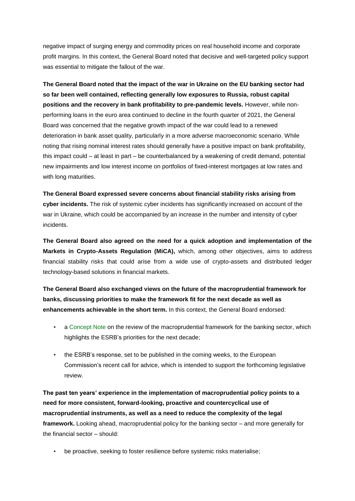negative impact of surging energy and commodity prices on real household income and corporate profit margins. In this context, the General Board noted that decisive and well-targeted policy support was essential to mitigate the fallout of the war.

**The General Board noted that the impact of the war in Ukraine on the EU banking sector had so far been well contained, reflecting generally low exposures to Russia, robust capital positions and the recovery in bank profitability to pre-pandemic levels.** However, while nonperforming loans in the euro area continued to decline in the fourth quarter of 2021, the General Board was concerned that the negative growth impact of the war could lead to a renewed deterioration in bank asset quality, particularly in a more adverse macroeconomic scenario. While noting that rising nominal interest rates should generally have a positive impact on bank profitability, this impact could – at least in part – be counterbalanced by a weakening of credit demand, potential new impairments and low interest income on portfolios of fixed-interest mortgages at low rates and with long maturities.

**The General Board expressed severe concerns about financial stability risks arising from cyber incidents.** The risk of systemic cyber incidents has significantly increased on account of the war in Ukraine, which could be accompanied by an increase in the number and intensity of cyber incidents.

**The General Board also agreed on the need for a quick adoption and implementation of the Markets in Crypto-Assets Regulation (MiCA),** which, among other objectives, aims to address financial stability risks that could arise from a wide use of crypto-assets and distributed ledger technology-based solutions in financial markets.

**The General Board also exchanged views on the future of the macroprudential framework for banks, discussing priorities to make the framework fit for the next decade as well as enhancements achievable in the short term.** In this context, the General Board endorsed:

- a [Concept Note](https://www.esrb.europa.eu/pub/pdf/reports/esrb.reviewmacropruframework.220331~65e86a81aa.en.pdf?bfc4a41f94ce2a016dbdfb6958eff83e) on the review of the macroprudential framework for the banking sector, which highlights the ESRB's priorities for the next decade;
- the ESRB's response, set to be published in the coming weeks, to the European Commission's recent [call for advice,](https://www.eba.europa.eu/sites/default/documents/files/document_library/About%20Us/Missions%20and%20tasks/Call%20for%20Advice/2021/CfA%20on%20review%20macroprudential/1019954/20210630%20CfA%20macropru%20review.pdf) which is intended to support the forthcoming legislative review.

**The past ten years' experience in the implementation of macroprudential policy points to a need for more consistent, forward-looking, proactive and countercyclical use of macroprudential instruments, as well as a need to reduce the complexity of the legal framework.** Looking ahead, macroprudential policy for the banking sector – and more generally for the financial sector – should:

• be proactive, seeking to foster resilience before systemic risks materialise;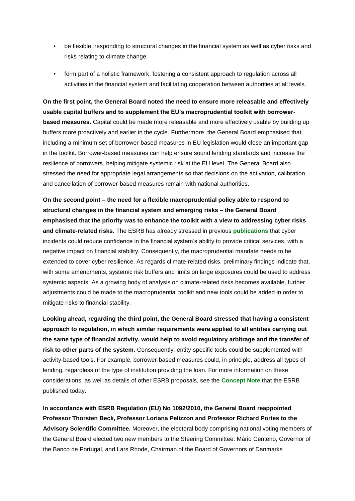- be flexible, responding to structural changes in the financial system as well as cyber risks and risks relating to climate change;
- form part of a holistic framework, fostering a consistent approach to regulation across all activities in the financial system and facilitating cooperation between authorities at all levels.

**On the first point, the General Board noted the need to ensure more releasable and effectively usable capital buffers and to supplement the EU's macroprudential toolkit with borrowerbased measures.** Capital could be made more releasable and more effectively usable by building up buffers more proactively and earlier in the cycle. Furthermore, the General Board emphasised that including a minimum set of borrower-based measures in EU legislation would close an important gap in the toolkit. Borrower-based measures can help ensure sound lending standards and increase the resilience of borrowers, helping mitigate systemic risk at the EU level. The General Board also stressed the need for appropriate legal arrangements so that decisions on the activation, calibration and cancellation of borrower-based measures remain with national authorities.

**On the second point – the need for a flexible macroprudential policy able to respond to structural changes in the financial system and emerging risks – the General Board emphasised that the priority was to enhance the toolkit with a view to addressing cyber risks and climate-related risks.** The ESRB has already stressed in previous **[publications](https://www.esrb.europa.eu/news/pr/date/2022/html/esrb.pr.220127~f1548f677e.en.html)** that cyber incidents could reduce confidence in the financial system's ability to provide critical services, with a negative impact on financial stability. Consequently, the macroprudential mandate needs to be extended to cover cyber resilience. As regards climate-related risks, preliminary findings indicate that, with some amendments, systemic risk buffers and limits on large exposures could be used to address systemic aspects. As a growing body of analysis on climate-related risks becomes available, further adjustments could be made to the macroprudential toolkit and new tools could be added in order to mitigate risks to financial stability.

**Looking ahead, regarding the third point, the General Board stressed that having a consistent approach to regulation, in which similar requirements were applied to all entities carrying out the same type of financial activity, would help to avoid regulatory arbitrage and the transfer of risk to other parts of the system.** Consequently, entity-specific tools could be supplemented with activity-based tools. For example, borrower-based measures could, in principle, address all types of lending, regardless of the type of institution providing the loan. For more information on these considerations, as well as details of other ESRB proposals, see the **[Concept Note](https://www.esrb.europa.eu/pub/pdf/reports/esrb.reviewmacropruframework.220331~65e86a81aa.en.pdf?bfc4a41f94ce2a016dbdfb6958eff83e)** that the ESRB published today.

**In accordance with ESRB Regulation (EU) No 1092/2010, the General Board reappointed Professor Thorsten Beck, Professor Loriana Pelizzon and Professor Richard Portes to the Advisory Scientific Committee.** Moreover, the electoral body comprising national voting members of the General Board elected two new members to the Steering Committee: Mário Centeno, Governor of the Banco de Portugal, and Lars Rhode, Chairman of the Board of Governors of Danmarks